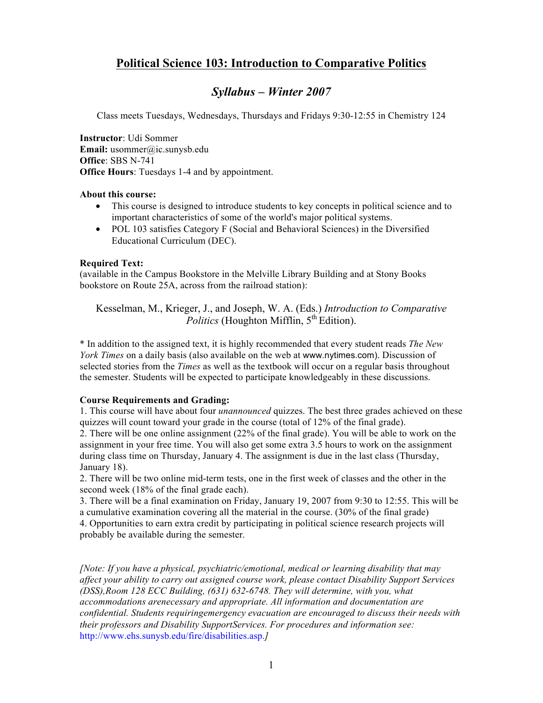# **Political Science 103: Introduction to Comparative Politics**

# *Syllabus – Winter 2007*

Class meets Tuesdays, Wednesdays, Thursdays and Fridays 9:30-12:55 in Chemistry 124

**Instructor**: Udi Sommer **Email:** usommer@ic.sunysb.edu **Office**: SBS N-741 **Office Hours**: Tuesdays 1-4 and by appointment.

#### **About this course:**

- This course is designed to introduce students to key concepts in political science and to important characteristics of some of the world's major political systems.
- POL 103 satisfies Category F (Social and Behavioral Sciences) in the Diversified Educational Curriculum (DEC).

### **Required Text:**

(available in the Campus Bookstore in the Melville Library Building and at Stony Books bookstore on Route 25A, across from the railroad station):

Kesselman, M., Krieger, J., and Joseph, W. A. (Eds.) *Introduction to Comparative Politics* (Houghton Mifflin,  $5<sup>th</sup>$  Edition).

\* In addition to the assigned text, it is highly recommended that every student reads *The New York Times* on a daily basis (also available on the web at www.nytimes.com). Discussion of selected stories from the *Times* as well as the textbook will occur on a regular basis throughout the semester. Students will be expected to participate knowledgeably in these discussions.

### **Course Requirements and Grading:**

1. This course will have about four *unannounced* quizzes. The best three grades achieved on these quizzes will count toward your grade in the course (total of 12% of the final grade). 2. There will be one online assignment (22% of the final grade). You will be able to work on the assignment in your free time. You will also get some extra 3.5 hours to work on the assignment during class time on Thursday, January 4. The assignment is due in the last class (Thursday, January 18).

2. There will be two online mid-term tests, one in the first week of classes and the other in the second week (18% of the final grade each).

3. There will be a final examination on Friday, January 19, 2007 from 9:30 to 12:55. This will be a cumulative examination covering all the material in the course. (30% of the final grade) 4. Opportunities to earn extra credit by participating in political science research projects will probably be available during the semester.

*[Note: If you have a physical, psychiatric/emotional, medical or learning disability that may affect your ability to carry out assigned course work, please contact Disability Support Services (DSS),Room 128 ECC Building, (631) 632-6748. They will determine, with you, what accommodations arenecessary and appropriate. All information and documentation are confidential. Students requiringemergency evacuation are encouraged to discuss their needs with their professors and Disability SupportServices. For procedures and information see:*  http://www.ehs.sunysb.edu/fire/disabilities.asp.*]*